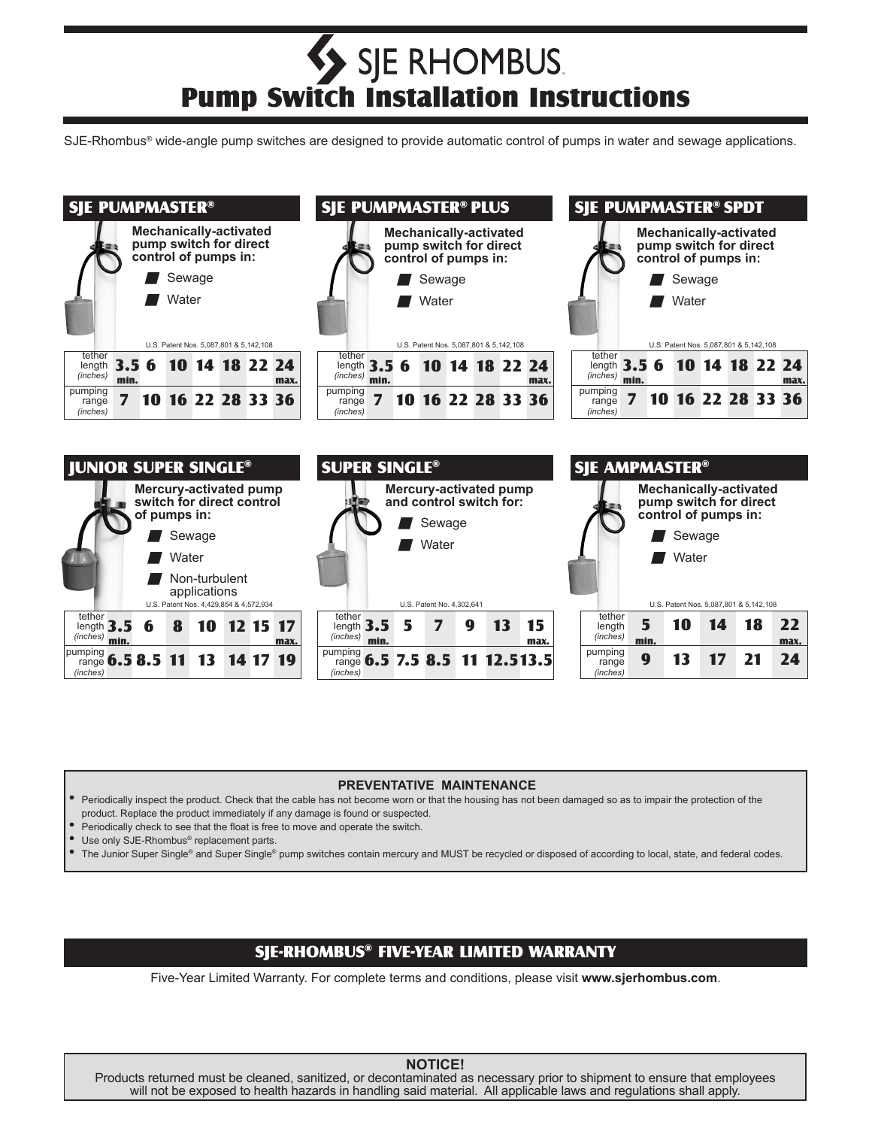# Pump Switch Installation Instructions SIE RHOMBUS.

SJE-Rhombus<sup>®</sup> wide-angle pump switches are designed to provide automatic control of pumps in water and sewage applications.



#### **PREVENTATIVE MAINTENANCE**

• Periodically inspect the product. Check that the cable has not become worn or that the housing has not been damaged so as to impair the protection of the product. Replace the product immediately if any damage is found or suspected.

Periodically check to see that the float is free to move and operate the switch.

Use only SJE-Rhombus<sup>®</sup> replacement parts.

The Junior Super Single® and Super Single® pump switches contain mercury and MUST be recycled or disposed of according to local, state, and federal codes.

#### SJE-RHOMBUS® FIVE-YEAR LIMITED WARRANTY

Five-Year Limited Warranty. For complete terms and conditions, please visit **www.sjerhombus.com**.

# **NOTICE!**

Products returned must be cleaned, sanitized, or decontaminated as necessary prior to shipment to ensure that employees will not be exposed to health hazards in handling said material. All applicable laws and regulations shall apply.